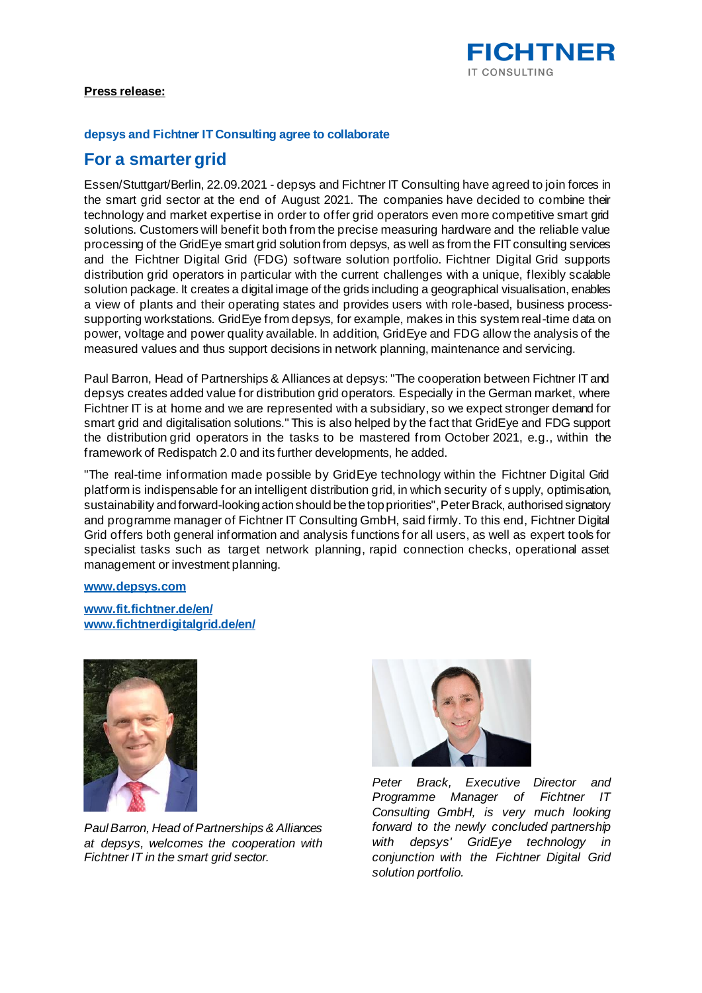

# **Press release:**

#### **depsys and Fichtner IT Consulting agree to collaborate**

# **For a smarter grid**

Essen/Stuttgart/Berlin, 22.09.2021 - depsys and Fichtner IT Consulting have agreed to join forces in the smart grid sector at the end of August 2021. The companies have decided to combine their technology and market expertise in order to offer grid operators even more competitive smart grid solutions. Customers will benefit both from the precise measuring hardware and the reliable value processing of the GridEye smart grid solution from depsys, as well as from the FIT consulting services and the Fichtner Digital Grid (FDG) software solution portfolio. Fichtner Digital Grid supports distribution grid operators in particular with the current challenges with a unique, flexibly scalable solution package. It creates a digital image of the grids including a geographical visualisation, enables a view of plants and their operating states and provides users with role-based, business processsupporting workstations. GridEye from depsys, for example, makes in this system real-time data on power, voltage and power quality available. In addition, GridEye and FDG allow the analysis of the measured values and thus support decisions in network planning, maintenance and servicing.

Paul Barron, Head of Partnerships & Alliances at depsys: "The cooperation between Fichtner IT and depsys creates added value for distribution grid operators. Especially in the German market, where Fichtner IT is at home and we are represented with a subsidiary, so we expect stronger demand for smart grid and digitalisation solutions." This is also helped by the fact that GridEye and FDG support the distribution grid operators in the tasks to be mastered from October 2021, e.g., within the framework of Redispatch 2.0 and its further developments, he added.

"The real-time information made possible by GridEye technology within the Fichtner Digital Grid platform is indispensable for an intelligent distribution grid, in which security of supply, optimisation, sustainability and forward-looking action should be the top priorities", Peter Brack, authorised signatory and programme manager of Fichtner IT Consulting GmbH, said firmly. To this end, Fichtner Digital Grid offers both general information and analysis functions for all users, as well as expert tools for specialist tasks such as target network planning, rapid connection checks, operational asset management or investment planning.

### **www.depsys.com**

**www.fit.fichtner.de/en/ www.fichtnerdigitalgrid.de/en/**



*Paul Barron, Head of Partnerships & Alliances at depsys, welcomes the cooperation with Fichtner IT in the smart grid sector.*



*Peter Brack, Executive Director and Programme Manager of Fichtner IT Consulting GmbH, is very much looking forward to the newly concluded partnership with depsys' GridEye technology in conjunction with the Fichtner Digital Grid solution portfolio.*